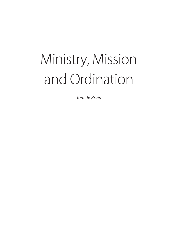# Ministry, Mission and Ordination

*Tom de Bruin*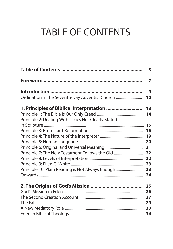# TABLE OF CONTENTS

|                                                     | 3              |
|-----------------------------------------------------|----------------|
|                                                     | $\overline{7}$ |
|                                                     | 9              |
| Ordination in the Seventh-Day Adventist Church      | 10             |
| 1. Principles of Biblical Interpretation            | 13             |
|                                                     | 14             |
| Principle 2: Dealing With Issues Not Clearly Stated |                |
|                                                     |                |
|                                                     | 16             |
|                                                     | 19             |
|                                                     |                |
|                                                     |                |
|                                                     |                |
|                                                     |                |
|                                                     |                |
| Principle 10: Plain Reading is Not Always Enough    | 23             |
|                                                     |                |
|                                                     | 25             |
|                                                     | 26             |
|                                                     | 27             |
|                                                     | 29             |
|                                                     | 33             |
|                                                     | 34             |
|                                                     |                |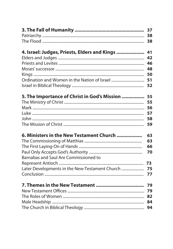|                                                | 38 |
|------------------------------------------------|----|
|                                                |    |
|                                                |    |
| 4. Israel: Judges, Priests, Elders and Kings   | 41 |
|                                                | 42 |
|                                                | 46 |
|                                                | 48 |
|                                                |    |
|                                                |    |
|                                                | 52 |
|                                                |    |
| 5. The Importance of Christ in God's Mission   | 55 |
|                                                | 55 |
|                                                | 56 |
|                                                | 57 |
|                                                | 58 |
|                                                | 59 |
| 6. Ministers in the New Testament Church       | 63 |
|                                                | 63 |
|                                                | 66 |
|                                                | 70 |
| Barnabas and Saul Are Commissioned to          |    |
|                                                | 73 |
| Later Developments in the New-Testament Church | 75 |
|                                                | 77 |
|                                                |    |
|                                                | 79 |
|                                                | 79 |
|                                                |    |
|                                                | 84 |
|                                                |    |
|                                                |    |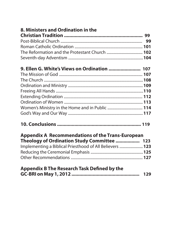| 8. Ministers and Ordination in the                       |  |
|----------------------------------------------------------|--|
|                                                          |  |
|                                                          |  |
|                                                          |  |
|                                                          |  |
|                                                          |  |
| 9. Ellen G. White's Views on Ordination  107             |  |
|                                                          |  |
|                                                          |  |
|                                                          |  |
|                                                          |  |
|                                                          |  |
|                                                          |  |
|                                                          |  |
|                                                          |  |
|                                                          |  |
| <b>Appendix A Recommendations of the Trans-European</b>  |  |
| Theology of Ordination Study Committee  123              |  |
| Implementing a Biblical Priesthood of All Believers  123 |  |
|                                                          |  |
|                                                          |  |
| <b>Appendix B The Research Task Defined by the</b>       |  |
|                                                          |  |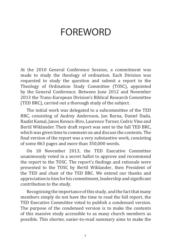### FOREWORD

At the 2010 General Conference Session, a commitment was made to study the theology of ordination. Each Division was requested to study the question and submit a report to the Theology of Ordination Study Committee (TOSC), appointed by the General Conference. Between June 2012 and November 2013 the Trans-European Division's Biblical Research Committee (TED BRC), carried out a thorough study of the subject.

The initial work was delegated to a subcommittee of the TED BRC, consisting of Audrey Andersson, Jan Barna, Daniel Duda, Raafat Kamal, Janos Kovacs-Biro, Laurence Turner, Cedric Vine and Bertil Wiklander. Their draft report was sent to the full TED BRC, which was given time to comment on and discuss the contents. The final version of the report was a very substantive work, consisting of some 863 pages and more than 350,000 words.

On 18 November 2013, the TED Executive Committee unanimously voted in a secret ballot to approve and recommend the report to the TOSC. The report's findings and rationale were presented to the TOSC by Bertil Wiklander, then President of the TED and chair of the TED BRC. We extend our thanks and appreciation to him for his commitment, leadership and significant contribution to the study.

Recognising the importance of this study, and the fact that many members simply do not have the time to read the full report, the TED Executive Committee voted to publish a condensed version. The purpose of the condensed version is to make the contents of this massive study accessible to as many church members as possible. This shorter, easier-to-read summary aims to make the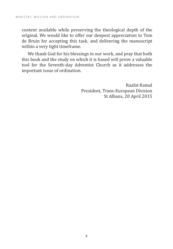content available while preserving the theological depth of the original. We would like to offer our deepest appreciation to Tom de Bruin for accepting this task, and delivering the manuscript within a very tight timeframe.

We thank God for his blessings in our work, and pray that both this book and the study on which it is based will prove a valuable tool for the Seventh-day Adventist Church as it addresses the important issue of ordination.

> Raafat Kamal President, Trans-European Division St Albans, 20 April 2015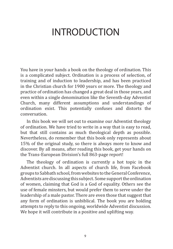### INTRODUCTION

You have in your hands a book on the theology of ordination. This is a complicated subject. Ordination is a process of selection, of training and of induction to leadership, and has been practiced in the Christian church for 1900 years or more. The theology and practice of ordination has changed a great deal in those years, and even within a single denomination like the Seventh-day Adventist Church, many different assumptions and understandings of ordination exist. This potentially confuses and distorts the conversation.

In this book we will set out to examine our Adventist theology of ordination. We have tried to write in a way that is easy to read, but that still contains as much theological depth as possible. Nevertheless, do remember that this book only represents about 15% of the original study, so there is always more to know and discover. By all means, after reading this book, get your hands on the Trans-European Division's full 863-page report!

The theology of ordination is currently a hot topic in the Adventist church. In all aspects of church life, from Facebook groups to Sabbath school, from websites to the General Conference, Adventists are discussing this subject. Some support the ordination of women, claiming that God is a God of equality. Others see the use of female minsters, but would prefer them to serve under the leadership of a male pastor. There are even those that suggest that any form of ordination is unbiblical. The book you are holding attempts to reply to this ongoing, worldwide Adventist discussion. We hope it will contribute in a positive and uplifting way.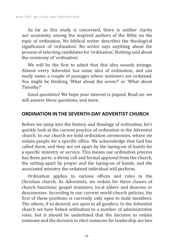As far as this study is concerned, there is neither clarity nor unanimity among the inspired authors of the Bible on the topic of ordination. No biblical writer describes the theological significance of 'ordination'. No writer says anything about the process of selecting candidates for 'ordination'. Nothing said about the ceremony of 'ordination'.

We will be the first to admit that this idea sounds strange. Almost every Adventist has some idea of ordination, and can easily name a couple of passages where ministers are ordained. You might be thinking 'What about the seven?' or 'What about Timothy?'

Good questions! We hope your interest is piqued. Read on: we will answer these questions, and more.

#### **ORDINATION IN THE SEVENTH-DAY ADVENTIST CHURCH**

Before we jump into the history and theology of ordination, let's quickly look at the current practice of ordination in the Adventist church. In our church we hold ordination ceremonies, where we ordain people for a specific office. We acknowledge that God has called them, and they are set apart by the laying-on of hands for a specific ministry or service. This means our ordination process has three parts: a divine call and formal approval from the church, the setting-apart by prayer and the laying-on of hands, and the associated ministry the ordained individual will perform.

Ordination applies to various offices and roles in the Christian church. As Adventists, we ordain for three classes of church functions: gospel ministers, local elders and deacons or deaconesses. According to our current world-church policies, the first of these positions is currently only open to male members. The others, if so desired, are open to all genders. In the Adventist church we have linked ordination to a number of administrative roles, but it should be underlined that the decision to ordain someone and the decision to elect someone for leadership are two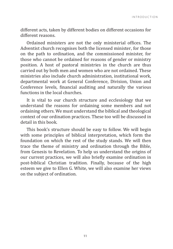different acts, taken by different bodies on different occasions for different reasons.

Ordained ministers are not the only ministerial offices. The Adventist church recognises both the licensed minister, for those on the path to ordination, and the commissioned minister, for those who cannot be ordained for reasons of gender or ministry position. A host of pastoral ministries in the church are thus carried out by both men and women who are not ordained. These ministries also include church administration, institutional work, departmental work at General Conference, Division, Union and Conference levels, financial auditing and naturally the various functions in the local churches.

It is vital to our church structure and ecclesiology that we understand the reasons for ordaining some members and not ordaining others. We must understand the biblical and theological context of our ordination practices. These too will be discussed in detail in this book.

This book's structure should be easy to follow. We will begin with some principles of biblical interpretation, which form the foundation on which the rest of the study stands. We will then trace the theme of ministry and ordination through the Bible, from Genesis to Revelation. To help us understand the origins of our current practices, we will also briefly examine ordination in post-biblical Christian tradition. Finally, because of the high esteem we give to Ellen G. White, we will also examine her views on the subject of ordination.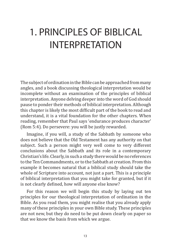# 1. PRINCIPLES OF BIBLICAL INTERPRETATION

The subject of ordination in the Bible can be approached from many angles, and a book discussing theological interpretation would be incomplete without an examination of the principles of biblical interpretation. Anyone delving deeper into the word of God should pause to ponder their methods of biblical interpretation. Although this chapter is likely the most difficult part of the book to read and understand, it is a vital foundation for the other chapters. When reading, remember that Paul says 'endurance produces character' (Rom 5:4). Do persevere: you will be justly rewarded.

Imagine, if you will, a study of the Sabbath by someone who does not believe that the Old Testament has any authority on that subject. Such a person might very well come to very different conclusions about the Sabbath and its role in a contemporary Christian's life. Clearly, in such a study there would be no references to the Ten Commandments, or to the Sabbath at creation. From this example it becomes natural that a biblical study should take the whole of Scripture into account, not just a part. This is a principle of biblical interpretation that you might take for granted, but if it is not clearly defined, how will anyone else know?

For this reason we will begin this study by laying out ten principles for our theological interpretation of ordination in the Bible. As you read them, you might realise that you already apply many of these principles in your own Bible study. These principles are not new, but they do need to be put down clearly on paper so that we know the basis from which we argue.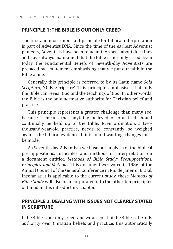#### **PRINCIPLE 1: THE BIBLE IS OUR ONLY CREED**

The first and most important principle for biblical interpretation is part of Adventist DNA. Since the time of the earliest Adventist pioneers, Adventists have been reluctant to speak about doctrines and have always maintained that the Bible is our only creed. Even today, the Fundamental Beliefs of Seventh-day Adventists are prefaced by a statement emphasising that we put our faith in the Bible alone.

Generally this principle is referred to by its Latin name *Sola Scriptura*, 'Only Scripture'. This principle emphasises that only the Bible can reveal God and the teachings of God. In other words, the Bible is the only normative authority for Christian belief and practice.

This principle represents a greater challenge than many see, because it means that anything believed or practiced should continually be held up to the Bible. Even ordination, a twothousand-year-old practice, needs to constantly be weighed against the biblical evidence. If it is found wanting, changes must be made.

As Seventh-day Adventists we base our analysis of the biblical presuppositions, principles and methods of interpretation on a document entitled *Methods of Bible Study: Presuppositions, Principles, and Methods*. This document was voted in 1986, at the Annual Council of the General Conference in Rio de Janeiro, Brazil. Insofar as it is applicable to the current study, these *Methods of Bible Study* will also be incorporated into the other ten principles outlined in this introductory chapter.

#### **PRINCIPLE 2: DEALING WITH ISSUES NOT CLEARLY STATED IN SCRIPTURE**

If the Bible is our only creed, and we accept that the Bible is the only authority over Christian beliefs and practice, this automatically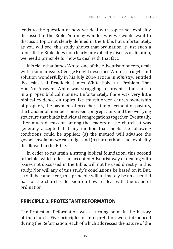leads to the question of how we deal with topics not explicitly discussed in the Bible. You may wonder why we would want to discuss a topic not clearly defined in the Bible, but unfortunately, as you will see, this study shows that ordination is just such a topic. If the Bible does not clearly or explicitly discuss ordination, we need a principle for how to deal with that fact.

It is clear that James White, one of the Adventist pioneers, dealt with a similar issue. George Knight describes White's struggle and solution wonderfully in his July 2014 article in *Ministry*, entitled 'Ecclesiastical Deadlock: James White Solves a Problem That Had No Answer'. White was struggling to organise the church in a proper, biblical manner. Unfortunately, there was very little biblical evidence on topics like church order, church ownership of property, the payment of preachers, the placement of pastors, the transfer of members between congregations and the overlying structure that binds individual congregations together. Eventually, after much discussion among the leaders of the church, it was generally accepted that any method that meets the following conditions could be applied: (a) the method will advance the gospel, insofar as we can judge, and (b) the method is not explicitly disallowed in the Bible.

In order to maintain a strong biblical foundation, this second principle, which offers an accepted Adventist way of dealing with issues not discussed in the Bible, will not be used directly in this study. Nor will any of this study's conclusions be based on it. But, as will become clear, this principle will ultimately be an essential part of the church's decision on how to deal with the issue of ordination.

#### **PRINCIPLE 3: PROTESTANT REFORMATION**

The Protestant Reformation was a turning point in the history of the church. Five principles of interpretation were introduced during the Reformation, each of which addresses the nature of the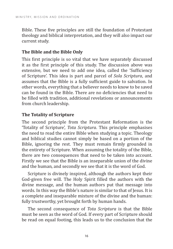Bible. These five principles are still the foundation of Protestant theology and biblical interpretation, and they will also impact our current study.

#### **The Bible and the Bible Only**

This first principle is so vital that we have separately discussed it as the first principle of this study. The discussion above was extensive, but we need to add one idea, called the 'Sufficiency of Scripture'. This idea is part and parcel of *Sola Scriptura*, and assumes that the Bible is a fully sufficient guide to salvation. In other words, everything that a believer needs to know to be saved can be found in the Bible. There are no deficiencies that need to be filled with tradition, additional revelations or announcements from church leadership.

#### **The Totality of Scripture**

The second principle from the Protestant Reformation is the 'Totality of Scripture', *Tota Scriptura*. This principle emphasises the need to read the entire Bible when studying a topic. Theology and biblical studies cannot simply be based on a portion of the Bible, ignoring the rest. They must remain firmly grounded in the entirety of Scripture. When assuming the totality of the Bible, there are two consequences that need to be taken into account. Firstly we see that the Bible is an inseparable union of the divine and the human, and secondly we see that it is the word of God.

Scripture is divinely inspired, although the authors kept their God-given free will. The Holy Spirit filled the authors with the divine message, and the human authors put that message into words. In this way the Bible's nature is similar to that of Jesus. It is a complete and inseparable mixture of the divine and the human: fully trustworthy, yet brought forth by human hands.

The second consequence of *Tota Scriptura* is that the Bible must be seen as the word of God. If every part of Scripture should be read on equal footing, this leads us to the conclusion that the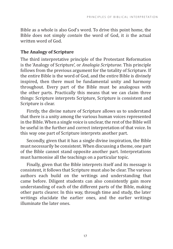Bible as a whole is also God's word. To drive this point home, the Bible does not simply *contain* the word of God, it *is* the actual written word of God.

#### **The Analogy of Scripture**

The third interpretative principle of the Protestant Reformation is the 'Analogy of Scripture', or *Analogia Scripturae*. This principle follows from the previous argument for the totality of Scripture. If the entire Bible is the word of God, and the entire Bible is divinely inspired, then there must be fundamental unity and harmony throughout. Every part of the Bible must be analogous with the other parts. Practically this means that we can claim three things: Scripture interprets Scripture, Scripture is consistent and Scripture is clear.

Firstly, the divine nature of Scripture allows us to understand that there is a unity among the various human voices represented in the Bible. When a single voice is unclear, the rest of the Bible will be useful in the further and correct interpretation of that voice. In this way one part of Scripture interprets another part.

Secondly, given that it has a single divine inspiration, the Bible must necessarily be consistent. When discussing a theme, one part of the Bible cannot stand opposite another part. Interpretations must harmonise all the teachings on a particular topic.

Finally, given that the Bible interprets itself and its message is consistent, it follows that Scripture must also be clear. The various authors each build on the writings and understanding that came before. Diligent students can also consistently gain more understanding of each of the different parts of the Bible, making other parts clearer. In this way, through time and study, the later writings elucidate the earlier ones, and the earlier writings illuminate the later ones.